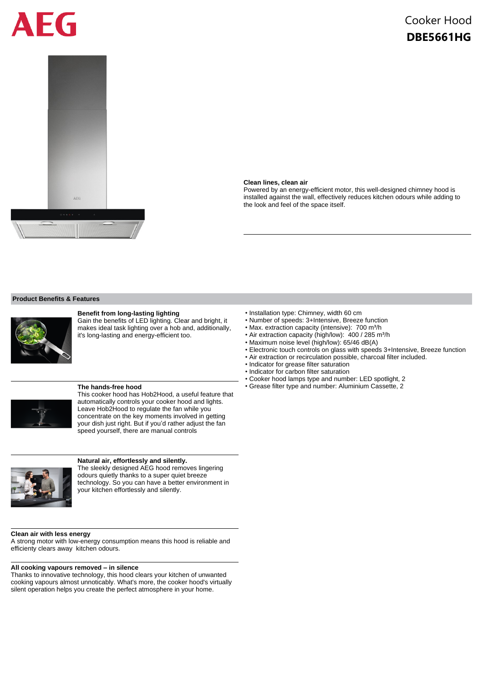# FG



## Cooker Hood **DBE5661HG**

#### **Clean lines, clean air**

Powered by an energy-efficient motor, this well-designed chimney hood is installed against the wall, effectively reduces kitchen odours while adding to the look and feel of the space itself.

#### **Product Benefits & Features**



#### **Benefit from long-lasting lighting**

Gain the benefits of LED lighting. Clear and bright, it makes ideal task lighting over a hob and, additionally, it's long-lasting and energy-efficient too.



#### **The hands-free hood**

This cooker hood has Hob2Hood, a useful feature that automatically controls your cooker hood and lights. Leave Hob2Hood to regulate the fan while you concentrate on the key moments involved in getting your dish just right. But if you'd rather adjust the fan speed yourself, there are manual controls



#### **Natural air, effortlessly and silently.**

The sleekly designed AEG hood removes lingering odours quietly thanks to a super quiet breeze technology. So you can have a better environment in your kitchen effortlessly and silently.

#### **Clean air with less energy**

A strong motor with low-energy consumption means this hood is reliable and efficienty clears away kitchen odours.

#### **All cooking vapours removed – in silence**

Thanks to innovative technology, this hood clears your kitchen of unwanted cooking vapours almost unnoticably. What's more, the cooker hood's virtually silent operation helps you create the perfect atmosphere in your home.

- Installation type: Chimney, width 60 cm
- Number of speeds: 3+Intensive, Breeze function
- Max. extraction capacity (intensive): 700 m<sup>3</sup>/h
- Air extraction capacity (high/low): 400 / 285 m<sup>3</sup>/h
- Maximum noise level (high/low): 65/46 dB(A)
- Electronic touch controls on glass with speeds 3+Intensive, Breeze function
- Air extraction or recirculation possible, charcoal filter included.
- Indicator for grease filter saturation
- Indicator for carbon filter saturation
- Cooker hood lamps type and number: LED spotlight, 2
- Grease filter type and number: Aluminium Cassette, 2